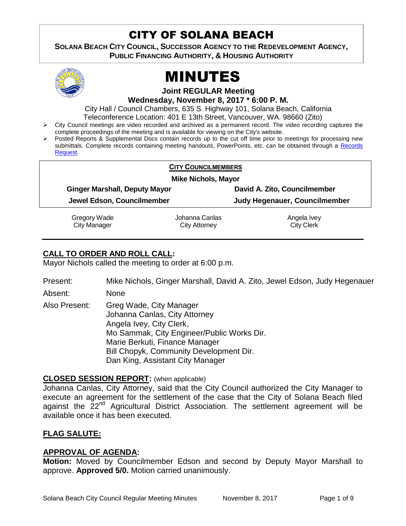# CITY OF SOLANA BEACH

**SOLANA BEACH CITY COUNCIL, SUCCESSOR AGENCY TO THE REDEVELOPMENT AGENCY, PUBLIC FINANCING AUTHORITY, & HOUSING AUTHORITY** 



# MINUTES

**Joint REGULAR Meeting**

**Wednesday, November 8, 2017 \* 6:00 P. M.** 

City Hall / Council Chambers, 635 S. Highway 101, Solana Beach, California Teleconference Location: 401 E 13th Street, Vancouver, WA. 98660 (Zito)

- $\triangleright$  City Council meetings are video recorded and archived as a permanent record. The video recording captures the complete proceedings of the meeting and is available for viewing on the City's website.
- Posted Reports & Supplemental Docs contain records up to the cut off time prior to meetings for processing new submittals. Complete records containing meeting handouts, PowerPoints, etc. can be obtained through a Records [Request.](http://www.ci.solana-beach.ca.us/index.asp?SEC=F5D45D10-70CE-4291-A27C-7BD633FC6742&Type=B_BASIC)

| <b>CITY COUNCILMEMBERS</b>           |                |                               |
|--------------------------------------|----------------|-------------------------------|
| <b>Mike Nichols, Mayor</b>           |                |                               |
| <b>Ginger Marshall, Deputy Mayor</b> |                | David A. Zito, Councilmember  |
| Jewel Edson, Councilmember           |                | Judy Hegenauer, Councilmember |
| Gregory Wade                         | Johanna Canlas | Angela Ivey                   |
| <b>City Manager</b>                  | City Attorney  | <b>City Clerk</b>             |

# **CALL TO ORDER AND ROLL CALL:**

Mayor Nichols called the meeting to order at 6:00 p.m.

Present: Mike Nichols, Ginger Marshall, David A. Zito, Jewel Edson, Judy Hegenauer

Absent: None

Also Present: Greg Wade, City Manager Johanna Canlas, City Attorney Angela Ivey, City Clerk, Mo Sammak, City Engineer/Public Works Dir. Marie Berkuti, Finance Manager Bill Chopyk, Community Development Dir. Dan King, Assistant City Manager

# **CLOSED SESSION REPORT:** (when applicable)

Johanna Canlas, City Attorney, said that the City Council authorized the City Manager to execute an agreement for the settlement of the case that the City of Solana Beach filed against the 22<sup>nd</sup> Agricultural District Association. The settlement agreement will be available once it has been executed.

# **FLAG SALUTE:**

# **APPROVAL OF AGENDA:**

**Motion:** Moved by Councilmember Edson and second by Deputy Mayor Marshall to approve. **Approved 5/0.** Motion carried unanimously.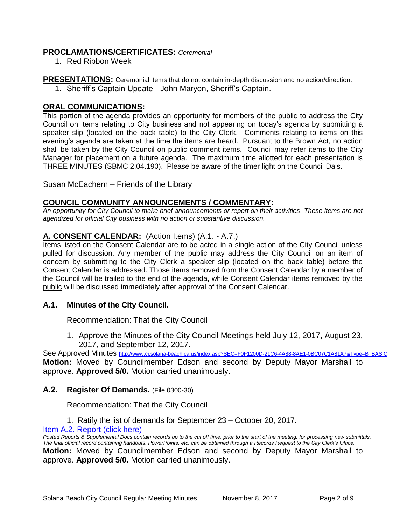# **PROCLAMATIONS/CERTIFICATES:** *Ceremonial*

1. Red Ribbon Week

**PRESENTATIONS:** Ceremonial items that do not contain in-depth discussion and no action/direction.

1. Sheriff's Captain Update - John Maryon, Sheriff's Captain.

# **ORAL COMMUNICATIONS:**

This portion of the agenda provides an opportunity for members of the public to address the City Council on items relating to City business and not appearing on today's agenda by submitting a speaker slip (located on the back table) to the City Clerk. Comments relating to items on this evening's agenda are taken at the time the items are heard. Pursuant to the Brown Act, no action shall be taken by the City Council on public comment items. Council may refer items to the City Manager for placement on a future agenda. The maximum time allotted for each presentation is THREE MINUTES (SBMC 2.04.190). Please be aware of the timer light on the Council Dais.

Susan McEachern – Friends of the Library

# **COUNCIL COMMUNITY ANNOUNCEMENTS / COMMENTARY:**

*An opportunity for City Council to make brief announcements or report on their activities. These items are not agendized for official City business with no action or substantive discussion.* 

# **A. CONSENT CALENDAR:** (Action Items) (A.1. - A.7.)

Items listed on the Consent Calendar are to be acted in a single action of the City Council unless pulled for discussion. Any member of the public may address the City Council on an item of concern by submitting to the City Clerk a speaker slip (located on the back table) before the Consent Calendar is addressed. Those items removed from the Consent Calendar by a member of the Council will be trailed to the end of the agenda, while Consent Calendar items removed by the public will be discussed immediately after approval of the Consent Calendar.

# **A.1. Minutes of the City Council.**

Recommendation: That the City Council

1. Approve the Minutes of the City Council Meetings held July 12, 2017, August 23, 2017, and September 12, 2017.

See Approved Minutes [http://www.ci.solana-beach.ca.us/index.asp?SEC=F0F1200D-21C6-4A88-8AE1-0BC07C1A81A7&Type=B\\_BASIC](http://www.ci.solana-beach.ca.us/index.asp?SEC=F0F1200D-21C6-4A88-8AE1-0BC07C1A81A7&Type=B_BASIC) **Motion:** Moved by Councilmember Edson and second by Deputy Mayor Marshall to approve. **Approved 5/0.** Motion carried unanimously.

# **A.2. Register Of Demands.** (File 0300-30)

Recommendation: That the City Council

1. Ratify the list of demands for September 23 – October 20, 2017.

#### [Item A.2. Report \(click here\)](https://solanabeach.govoffice3.com/vertical/Sites/%7B840804C2-F869-4904-9AE3-720581350CE7%7D/uploads/Item_A.2._Report_(click_here)_-_11-08-17.PDF)

*Posted Reports & Supplemental Docs contain records up to the cut off time, prior to the start of the meeting, for processing new submittals. The final official record containing handouts, PowerPoints, etc. can be obtained through a Records Request to the City Clerk's Office.* **Motion:** Moved by Councilmember Edson and second by Deputy Mayor Marshall to approve. **Approved 5/0.** Motion carried unanimously.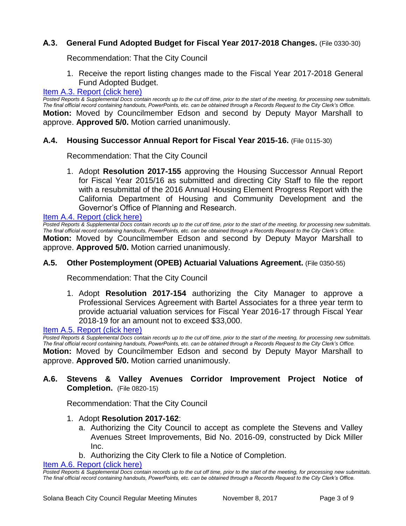# **A.3. General Fund Adopted Budget for Fiscal Year 2017-2018 Changes.** (File 0330-30)

Recommendation: That the City Council

1. Receive the report listing changes made to the Fiscal Year 2017-2018 General Fund Adopted Budget.

#### [Item A.3. Report \(click here\)](https://solanabeach.govoffice3.com/vertical/Sites/%7B840804C2-F869-4904-9AE3-720581350CE7%7D/uploads/Item_A.3._Report_(click_here)_-_11-08-17.PDF)

*Posted Reports & Supplemental Docs contain records up to the cut off time, prior to the start of the meeting, for processing new submittals. The final official record containing handouts, PowerPoints, etc. can be obtained through a Records Request to the City Clerk's Office.* **Motion:** Moved by Councilmember Edson and second by Deputy Mayor Marshall to approve. **Approved 5/0.** Motion carried unanimously.

#### **A.4. Housing Successor Annual Report for Fiscal Year 2015-16.** (File 0115-30)

Recommendation: That the City Council

1. Adopt **Resolution 2017-155** approving the Housing Successor Annual Report for Fiscal Year 2015/16 as submitted and directing City Staff to file the report with a resubmittal of the 2016 Annual Housing Element Progress Report with the California Department of Housing and Community Development and the Governor's Office of Planning and Research.

[Item A.4. Report \(click here\)](https://solanabeach.govoffice3.com/vertical/Sites/%7B840804C2-F869-4904-9AE3-720581350CE7%7D/uploads/Item_A.4._Report_(click_here)_-_11-08-17.PDF)

*Posted Reports & Supplemental Docs contain records up to the cut off time, prior to the start of the meeting, for processing new submittals. The final official record containing handouts, PowerPoints, etc. can be obtained through a Records Request to the City Clerk's Office.* **Motion:** Moved by Councilmember Edson and second by Deputy Mayor Marshall to approve. **Approved 5/0.** Motion carried unanimously.

#### **A.5. Other Postemployment (OPEB) Actuarial Valuations Agreement.** (File 0350-55)

Recommendation: That the City Council

1. Adopt **Resolution 2017-154** authorizing the City Manager to approve a Professional Services Agreement with Bartel Associates for a three year term to provide actuarial valuation services for Fiscal Year 2016-17 through Fiscal Year 2018-19 for an amount not to exceed \$33,000.

#### [Item A.5. Report \(click here\)](https://solanabeach.govoffice3.com/vertical/Sites/%7B840804C2-F869-4904-9AE3-720581350CE7%7D/uploads/Item_A.5._Report_(click_here)_-_11-08-17.PDF)

*Posted Reports & Supplemental Docs contain records up to the cut off time, prior to the start of the meeting, for processing new submittals. The final official record containing handouts, PowerPoints, etc. can be obtained through a Records Request to the City Clerk's Office.* **Motion:** Moved by Councilmember Edson and second by Deputy Mayor Marshall to approve. **Approved 5/0.** Motion carried unanimously.

# **A.6. Stevens & Valley Avenues Corridor Improvement Project Notice of Completion.** (File 0820-15)

Recommendation: That the City Council

- 1. Adopt **Resolution 2017-162**:
	- a. Authorizing the City Council to accept as complete the Stevens and Valley Avenues Street Improvements, Bid No. 2016-09, constructed by Dick Miller Inc.
	- b. Authorizing the City Clerk to file a Notice of Completion.

[Item A.6. Report \(click here\)](https://solanabeach.govoffice3.com/vertical/Sites/%7B840804C2-F869-4904-9AE3-720581350CE7%7D/uploads/Item_A.6._Report_(click_here)_-_11-08-17.PDF)

*Posted Reports & Supplemental Docs contain records up to the cut off time, prior to the start of the meeting, for processing new submittals. The final official record containing handouts, PowerPoints, etc. can be obtained through a Records Request to the City Clerk's Office.*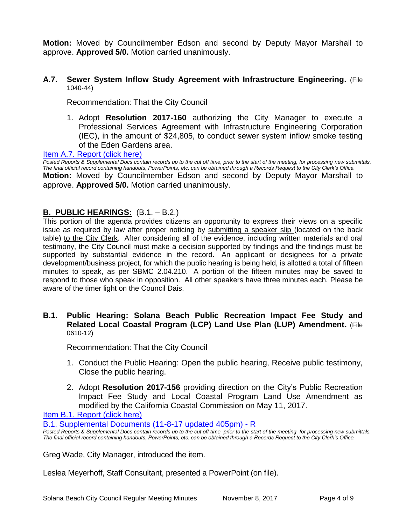**Motion:** Moved by Councilmember Edson and second by Deputy Mayor Marshall to approve. **Approved 5/0.** Motion carried unanimously.

#### **A.7. Sewer System Inflow Study Agreement with Infrastructure Engineering.** (File 1040-44)

Recommendation: That the City Council

1. Adopt **Resolution 2017-160** authorizing the City Manager to execute a Professional Services Agreement with Infrastructure Engineering Corporation (IEC), in the amount of \$24,805, to conduct sewer system inflow smoke testing of the Eden Gardens area.

[Item A.7. Report \(click here\)](https://solanabeach.govoffice3.com/vertical/Sites/%7B840804C2-F869-4904-9AE3-720581350CE7%7D/uploads/Item_A.7._Report_(click_here)_-_11-08-17.PDF)

*Posted Reports & Supplemental Docs contain records up to the cut off time, prior to the start of the meeting, for processing new submittals. The final official record containing handouts, PowerPoints, etc. can be obtained through a Records Request to the City Clerk's Office.* **Motion:** Moved by Councilmember Edson and second by Deputy Mayor Marshall to approve. **Approved 5/0.** Motion carried unanimously.

# **B. PUBLIC HEARINGS:** (B.1. – B.2.)

This portion of the agenda provides citizens an opportunity to express their views on a specific issue as required by law after proper noticing by submitting a speaker slip (located on the back table) to the City Clerk. After considering all of the evidence, including written materials and oral testimony, the City Council must make a decision supported by findings and the findings must be supported by substantial evidence in the record. An applicant or designees for a private development/business project, for which the public hearing is being held, is allotted a total of fifteen minutes to speak, as per SBMC 2.04.210. A portion of the fifteen minutes may be saved to respond to those who speak in opposition. All other speakers have three minutes each. Please be aware of the timer light on the Council Dais.

#### **B.1. Public Hearing: Solana Beach Public Recreation Impact Fee Study and Related Local Coastal Program (LCP) Land Use Plan (LUP) Amendment.** (File 0610-12)

Recommendation: That the City Council

- 1. Conduct the Public Hearing: Open the public hearing, Receive public testimony, Close the public hearing.
- 2. Adopt **Resolution 2017-156** providing direction on the City's Public Recreation Impact Fee Study and Local Coastal Program Land Use Amendment as modified by the California Coastal Commission on May 11, 2017.

Item B.1. Report (click here)

[B.1. Supplemental Documents \(11-8-17](https://solanabeach.govoffice3.com/vertical/Sites/%7B840804C2-F869-4904-9AE3-720581350CE7%7D/uploads/B.1._Supplemental_Documents_(11-8-17_updated_405pm).pdf) updated 405pm) - R

*Posted Reports & Supplemental Docs contain records up to the cut off time, prior to the start of the meeting, for processing new submittals. The final official record containing handouts, PowerPoints, etc. can be obtained through a Records Request to the City Clerk's Office.*

Greg Wade, City Manager, introduced the item.

Leslea Meyerhoff, Staff Consultant, presented a PowerPoint (on file).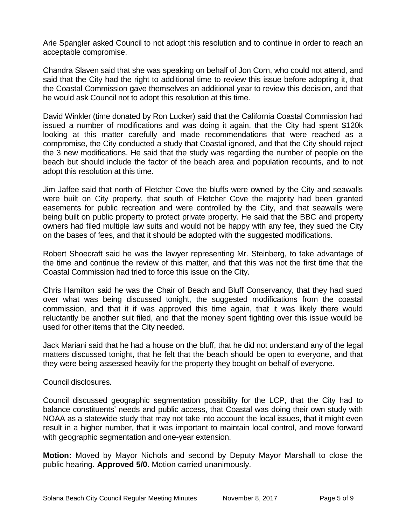Arie Spangler asked Council to not adopt this resolution and to continue in order to reach an acceptable compromise.

Chandra Slaven said that she was speaking on behalf of Jon Corn, who could not attend, and said that the City had the right to additional time to review this issue before adopting it, that the Coastal Commission gave themselves an additional year to review this decision, and that he would ask Council not to adopt this resolution at this time.

David Winkler (time donated by Ron Lucker) said that the California Coastal Commission had issued a number of modifications and was doing it again, that the City had spent \$120k looking at this matter carefully and made recommendations that were reached as a compromise, the City conducted a study that Coastal ignored, and that the City should reject the 3 new modifications. He said that the study was regarding the number of people on the beach but should include the factor of the beach area and population recounts, and to not adopt this resolution at this time.

Jim Jaffee said that north of Fletcher Cove the bluffs were owned by the City and seawalls were built on City property, that south of Fletcher Cove the majority had been granted easements for public recreation and were controlled by the City, and that seawalls were being built on public property to protect private property. He said that the BBC and property owners had filed multiple law suits and would not be happy with any fee, they sued the City on the bases of fees, and that it should be adopted with the suggested modifications.

Robert Shoecraft said he was the lawyer representing Mr. Steinberg, to take advantage of the time and continue the review of this matter, and that this was not the first time that the Coastal Commission had tried to force this issue on the City.

Chris Hamilton said he was the Chair of Beach and Bluff Conservancy, that they had sued over what was being discussed tonight, the suggested modifications from the coastal commission, and that it if was approved this time again, that it was likely there would reluctantly be another suit filed, and that the money spent fighting over this issue would be used for other items that the City needed.

Jack Mariani said that he had a house on the bluff, that he did not understand any of the legal matters discussed tonight, that he felt that the beach should be open to everyone, and that they were being assessed heavily for the property they bought on behalf of everyone.

Council disclosures.

Council discussed geographic segmentation possibility for the LCP, that the City had to balance constituents' needs and public access, that Coastal was doing their own study with NOAA as a statewide study that may not take into account the local issues, that it might even result in a higher number, that it was important to maintain local control, and move forward with geographic segmentation and one-year extension.

**Motion:** Moved by Mayor Nichols and second by Deputy Mayor Marshall to close the public hearing. **Approved 5/0.** Motion carried unanimously.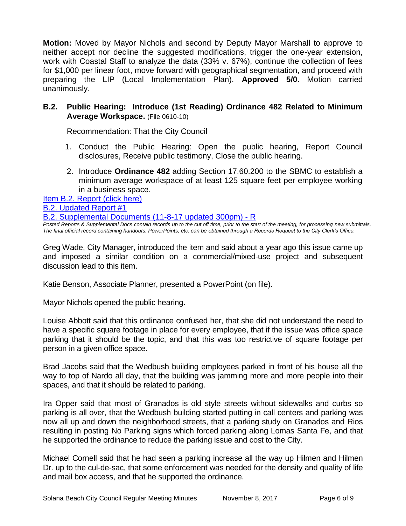**Motion:** Moved by Mayor Nichols and second by Deputy Mayor Marshall to approve to neither accept nor decline the suggested modifications, trigger the one-year extension, work with Coastal Staff to analyze the data (33% v. 67%), continue the collection of fees for \$1,000 per linear foot, move forward with geographical segmentation, and proceed with preparing the LIP (Local Implementation Plan). **Approved 5/0.** Motion carried unanimously.

# **B.2. Public Hearing: Introduce (1st Reading) Ordinance 482 Related to Minimum Average Workspace.** (File 0610-10)

Recommendation: That the City Council

- 1. Conduct the Public Hearing: Open the public hearing, Report Council disclosures, Receive public testimony, Close the public hearing.
- 2. Introduce **Ordinance 482** adding Section 17.60.200 to the SBMC to establish a minimum average workspace of at least 125 square feet per employee working in a business space.

[Item B.2. Report \(click here\)](https://solanabeach.govoffice3.com/vertical/Sites/%7B840804C2-F869-4904-9AE3-720581350CE7%7D/uploads/Item_B.2._Report_(click_here)_-_11-08-17.PDF) 

[B.2. Updated Report #1](https://solanabeach.govoffice3.com/vertical/Sites/%7B840804C2-F869-4904-9AE3-720581350CE7%7D/uploads/B.2._Updated_Report_1_-_11-8-17.pdf)

[B.2. Supplemental Documents \(11-8-17](https://solanabeach.govoffice3.com/vertical/Sites/%7B840804C2-F869-4904-9AE3-720581350CE7%7D/uploads/B.2._Supplemental_Documents_(11-8-17_updated_300pm)_-_R.pdf) updated 300pm) - R

*Posted Reports & Supplemental Docs contain records up to the cut off time, prior to the start of the meeting, for processing new submittals. The final official record containing handouts, PowerPoints, etc. can be obtained through a Records Request to the City Clerk's Office.*

Greg Wade, City Manager, introduced the item and said about a year ago this issue came up and imposed a similar condition on a commercial/mixed-use project and subsequent discussion lead to this item.

Katie Benson, Associate Planner, presented a PowerPoint (on file).

Mayor Nichols opened the public hearing.

Louise Abbott said that this ordinance confused her, that she did not understand the need to have a specific square footage in place for every employee, that if the issue was office space parking that it should be the topic, and that this was too restrictive of square footage per person in a given office space.

Brad Jacobs said that the Wedbush building employees parked in front of his house all the way to top of Nardo all day, that the building was jamming more and more people into their spaces, and that it should be related to parking.

Ira Opper said that most of Granados is old style streets without sidewalks and curbs so parking is all over, that the Wedbush building started putting in call centers and parking was now all up and down the neighborhood streets, that a parking study on Granados and Rios resulting in posting No Parking signs which forced parking along Lomas Santa Fe, and that he supported the ordinance to reduce the parking issue and cost to the City.

Michael Cornell said that he had seen a parking increase all the way up Hilmen and Hilmen Dr. up to the cul-de-sac, that some enforcement was needed for the density and quality of life and mail box access, and that he supported the ordinance.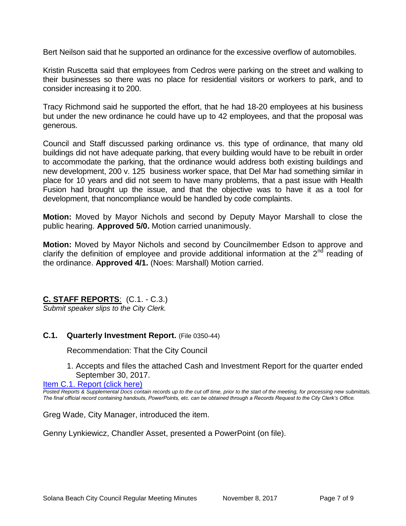Bert Neilson said that he supported an ordinance for the excessive overflow of automobiles.

Kristin Ruscetta said that employees from Cedros were parking on the street and walking to their businesses so there was no place for residential visitors or workers to park, and to consider increasing it to 200.

Tracy Richmond said he supported the effort, that he had 18-20 employees at his business but under the new ordinance he could have up to 42 employees, and that the proposal was generous.

Council and Staff discussed parking ordinance vs. this type of ordinance, that many old buildings did not have adequate parking, that every building would have to be rebuilt in order to accommodate the parking, that the ordinance would address both existing buildings and new development, 200 v. 125 business worker space, that Del Mar had something similar in place for 10 years and did not seem to have many problems, that a past issue with Health Fusion had brought up the issue, and that the objective was to have it as a tool for development, that noncompliance would be handled by code complaints.

**Motion:** Moved by Mayor Nichols and second by Deputy Mayor Marshall to close the public hearing. **Approved 5/0.** Motion carried unanimously.

**Motion:** Moved by Mayor Nichols and second by Councilmember Edson to approve and clarify the definition of employee and provide additional information at the  $2<sup>nd</sup>$  reading of the ordinance. **Approved 4/1.** (Noes: Marshall) Motion carried.

**C. STAFF REPORTS**: (C.1. - C.3.)

*Submit speaker slips to the City Clerk.*

# **C.1. Quarterly Investment Report.** (File 0350-44)

Recommendation: That the City Council

1. Accepts and files the attached Cash and Investment Report for the quarter ended September 30, 2017.

[Item C.1. Report \(click here\)](https://solanabeach.govoffice3.com/vertical/Sites/%7B840804C2-F869-4904-9AE3-720581350CE7%7D/uploads/Item_C.1._Report_(click_here)_-_11-08-17.PDF)

*Posted Reports & Supplemental Docs contain records up to the cut off time, prior to the start of the meeting, for processing new submittals. The final official record containing handouts, PowerPoints, etc. can be obtained through a Records Request to the City Clerk's Office.*

Greg Wade, City Manager, introduced the item.

Genny Lynkiewicz, Chandler Asset, presented a PowerPoint (on file).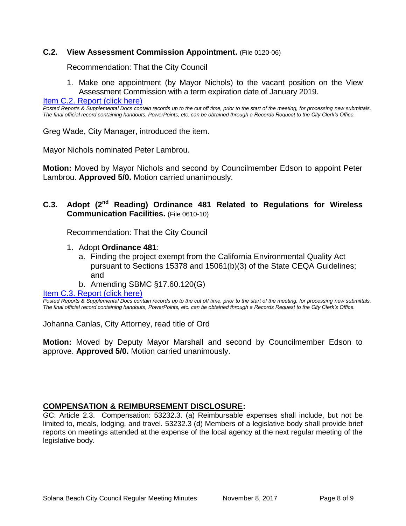#### **C.2. View Assessment Commission Appointment.** (File 0120-06)

Recommendation: That the City Council

1. Make one appointment (by Mayor Nichols) to the vacant position on the View Assessment Commission with a term expiration date of January 2019.

[Item C.2. Report \(click here\)](https://solanabeach.govoffice3.com/vertical/Sites/%7B840804C2-F869-4904-9AE3-720581350CE7%7D/uploads/Item_C.2._Report_(click_here)_-_11-08-17.PDF)

*Posted Reports & Supplemental Docs contain records up to the cut off time, prior to the start of the meeting, for processing new submittals. The final official record containing handouts, PowerPoints, etc. can be obtained through a Records Request to the City Clerk's Office.*

Greg Wade, City Manager, introduced the item.

Mayor Nichols nominated Peter Lambrou.

**Motion:** Moved by Mayor Nichols and second by Councilmember Edson to appoint Peter Lambrou. **Approved 5/0.** Motion carried unanimously.

# **C.3. Adopt (2nd Reading) Ordinance 481 Related to Regulations for Wireless Communication Facilities.** (File 0610-10)

Recommendation: That the City Council

- 1. Adopt **Ordinance 481**:
	- a. Finding the project exempt from the California Environmental Quality Act pursuant to Sections 15378 and 15061(b)(3) of the State CEQA Guidelines; and
	- b. Amending SBMC §17.60.120(G)

[Item C.3. Report \(click here\)](https://solanabeach.govoffice3.com/vertical/Sites/%7B840804C2-F869-4904-9AE3-720581350CE7%7D/uploads/Item_C.3._Report_(click_here)_-_11-08-17.PDF)

*Posted Reports & Supplemental Docs contain records up to the cut off time, prior to the start of the meeting, for processing new submittals. The final official record containing handouts, PowerPoints, etc. can be obtained through a Records Request to the City Clerk's Office.*

Johanna Canlas, City Attorney, read title of Ord

**Motion:** Moved by Deputy Mayor Marshall and second by Councilmember Edson to approve. **Approved 5/0.** Motion carried unanimously.

#### **COMPENSATION & REIMBURSEMENT DISCLOSURE:**

GC: Article 2.3. Compensation: 53232.3. (a) Reimbursable expenses shall include, but not be limited to, meals, lodging, and travel. 53232.3 (d) Members of a legislative body shall provide brief reports on meetings attended at the expense of the local agency at the next regular meeting of the legislative body.